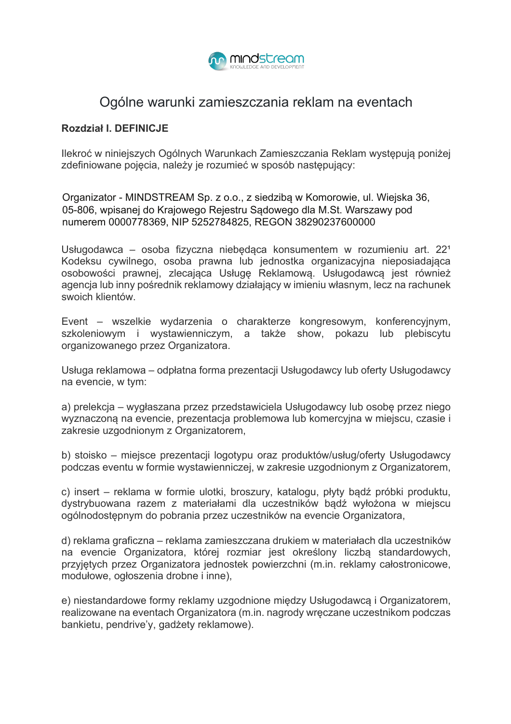

# Ogólne warunki zamieszczania reklam na eventach

## Rozdział I. DEFINICJE

Ilekroć w niniejszych Ogólnych Warunkach Zamieszczania Reklam występują poniżej zdefiniowane pojęcia, należy je rozumieć w sposób następujący:

Organizator - MINDSTREAM Sp. z o.o., z siedzibą w Komorowie, ul. Wiejska 36, 05-806, wpisanej do Krajowego Rejestru Sądowego dla M.St. Warszawy pod numerem 0000778369, NIP 5252784825, REGON 38290237600000

Usługodawca – osoba fizyczna niebedaca konsumentem w rozumieniu art. 22<sup>1</sup> Kodeksu cywilnego, osoba prawna lub jednostka organizacyjna nieposiadająca osobowości prawnej, zlecająca Usługę Reklamową. Usługodawcą jest również agencja lub inny pośrednik reklamowy działający w imieniu własnym, lecz na rachunek swoich klientów.

Event – wszelkie wydarzenia o charakterze kongresowym, konferencyjnym, szkoleniowym i wystawienniczym, a także show, pokazu lub plebiscytu organizowanego przez Organizatora.

Usługa reklamowa – odpłatna forma prezentacji Usługodawcy lub oferty Usługodawcy na evencie, w tym:

a) prelekcja – wygłaszana przez przedstawiciela Usługodawcy lub osobę przez niego wyznaczoną na evencie, prezentacja problemowa lub komercyjna w miejscu, czasie i zakresie uzgodnionym z Organizatorem,

b) stoisko – miejsce prezentacji logotypu oraz produktów/usług/oferty Usługodawcy podczas eventu w formie wystawienniczej, w zakresie uzgodnionym z Organizatorem,

c) insert – reklama w formie ulotki, broszury, katalogu, płyty bądź próbki produktu, dystrybuowana razem z materiałami dla uczestników badź wyłożona w miejscu ogólnodostepnym do pobrania przez uczestników na evencie Organizatora.

d) reklama graficzna – reklama zamieszczana drukiem w materiałach dla uczestników na evencie Organizatora, której rozmiar jest określony liczba standardowych, przyjętych przez Organizatora jednostek powierzchni (m.in. reklamy całostronicowe, modułowe, ogłoszenia drobne i inne),

e) niestandardowe formy reklamy uzgodnione między Usługodawcą i Organizatorem. realizowane na eventach Organizatora (m.in. nagrody wreczane uczestnikom podczas bankietu, pendrive'y, gadżety reklamowe).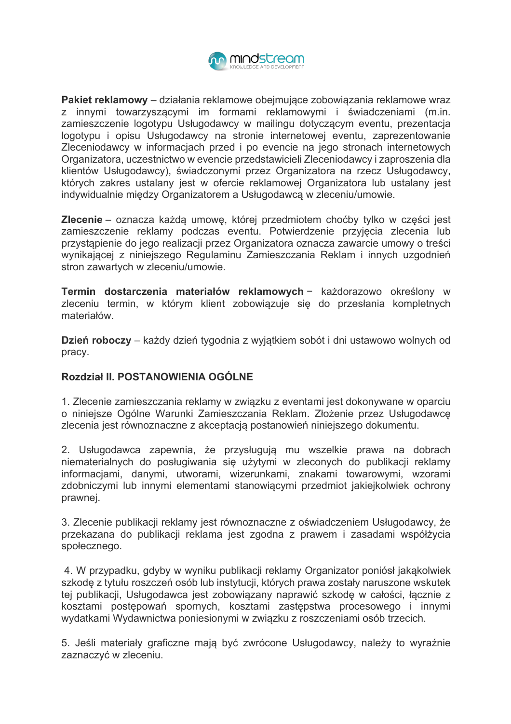

Pakiet reklamowy – działania reklamowe obeimujące zobowiązania reklamowe wraz z innymi towarzyszącymi im formami reklamowymi i świadczeniami (m.in. zamieszczenie logotypu Usługodawcy w mailingu dotyczącym eventu, prezentacja logotypu i opisu Usługodawcy na stronie internetowej eventu, zaprezentowanie Zleceniodawcy w informacjach przed i po evencie na jego stronach internetowych Organizatora, uczestnictwo w evencie przedstawicieli Zleceniodawcy i zaproszenia dla klientów Usługodawcy), świadczonymi przez Organizatora na rzecz Usługodawcy, których zakres ustalany jest w ofercie reklamowej Organizatora lub ustalany jest indywidualnie miedzy Organizatorem a Usługodawca w zleceniu/umowie.

Zlecenie - oznacza każdą umowę, której przedmiotem choćby tylko w części jest zamieszczenie reklamy podczas eventu. Potwierdzenie przyjęcia zlecenia lub przystąpienie do jego realizacji przez Organizatora oznacza zawarcie umowy o treści wynikającej z niniejszego Regulaminu Zamieszczania Reklam i innych uzgodnień stron zawartych w zleceniu/umowie.

Termin dostarczenia materiałów reklamowych - każdorazowo określony w zleceniu termin, w którym klient zobowiązuje się do przesłania kompletnych materiałów.

Dzień roboczy – każdy dzień tygodnia z wyjątkiem sobót i dni ustawowo wolnych od pracy.

# Rozdział II. POSTANOWIENIA OGÓLNE

1. Zlecenie zamieszczania reklamy w zwiazku z eventami jest dokonywane w oparcju o niniejsze Ogólne Warunki Zamieszczania Reklam. Złożenie przez Usługodawce zlecenia jest równoznaczne z akceptacją postanowień niniejszego dokumentu.

2. Usługodawca zapewnia, że przysługują mu wszelkie prawa na dobrach niematerialnych do posługiwania się użytymi w zleconych do publikacji reklamy informacjami, danymi, utworami, wizerunkami, znakami towarowymi, wzorami zdobniczymi lub innymi elementami stanowiącymi przedmiot jakiejkolwiek ochrony prawnej.

3. Zlecenie publikacji reklamy jest równoznaczne z oświadczeniem Usługodawcy, że przekazana do publikacji reklama jest zgodna z prawem i zasadami współżycia społecznego.

4. W przypadku, gdyby w wyniku publikacji reklamy Organizator poniósł jakakolwiek szkodę z tytułu roszczeń osób lub instytucji, których prawa zostały naruszone wskutek tej publikacji, Usługodawca jest zobowiązany naprawić szkodę w całości, łącznie z kosztami postepowań spornych, kosztami zastepstwa procesowego i innymi wydatkami Wydawnictwa poniesionymi w zwiazku z roszczeniami osób trzecich.

5. Jeśli materiały graficzne mają być zwrócone Usługodawcy, należy to wyraźnie zaznaczyć w zleceniu.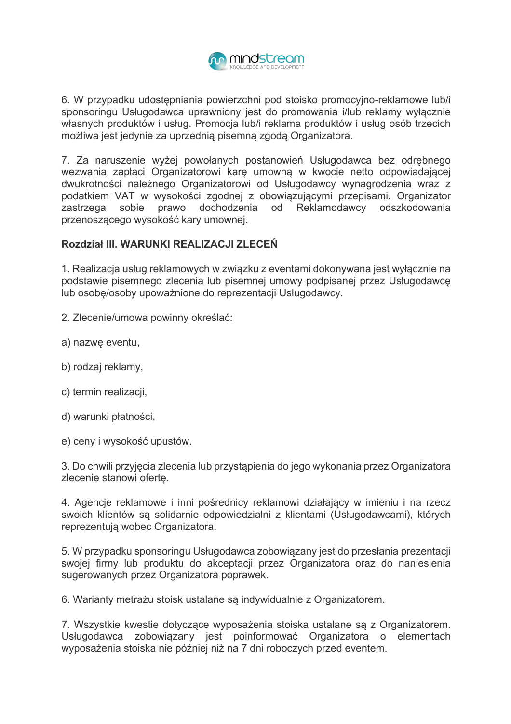

6. W przypadku udostepniania powierzchni pod stojsko promocyjno-reklamowe lub/i sponsoringu Usługodawca uprawniony jest do promowania i/lub reklamy wyłącznie własnych produktów i usług. Promocja lub/i reklama produktów i usług osób trzecich możliwa jest jedynie za uprzednią pisemną zgodą Organizatora.

7. Za naruszenie wyżej powołanych postanowień Usługodawca bez odrebnego wezwania zapłaci Organizatorowi karę umowną w kwocie netto odpowiadającej dwukrotności należnego Organizatorowi od Usługodawcy wynagrodzenia wraz z podatkiem VAT w wysokości zgodnej z obowiązującymi przepisami. Organizator zastrzega sobie prawo dochodzenia od Reklamodawcy odszkodowania przenoszącego wysokość kary umownej.

# Rozdział III. WARUNKI REALIZACJI ZLECEŃ

1. Realizacja usług reklamowych w związku z eventami dokonywana jest wyłacznie na podstawie pisemnego zlecenia lub pisemnej umowy podpisanej przez Usługodawcę lub osobe/osoby upoważnione do reprezentacji Usługodawcy.

2. Zlecenie/umowa powinny określać:

- a) nazwę eventu,
- b) rodzaj reklamy,
- c) termin realizacii.
- d) warunki płatności,
- e) ceny i wysokość upustów.

3. Do chwili przyjęcia zlecenia lub przystąpienia do jego wykonania przez Organizatora zlecenie stanowi ofertę.

4. Agencje reklamowe i inni pośrednicy reklamowi działający w imieniu i na rzecz swoich klientów są solidarnie odpowiedzialni z klientami (Usługodawcami), których reprezentuja wobec Organizatora.

5. W przypadku sponsoringu Usługodawca zobowiązany jest do przesłania prezentacji swojej firmy lub produktu do akceptacji przez Organizatora oraz do naniesienia sugerowanych przez Organizatora poprawek.

6. Warianty metrażu stoisk ustalane są indywidualnie z Organizatorem.

7. Wszystkie kwestie dotyczące wyposażenia stoiska ustalane są z Organizatorem. Usługodawca zobowiązany jest poinformować Organizatora o elementach wyposażenia stoiska nie później niż na 7 dni roboczych przed eventem.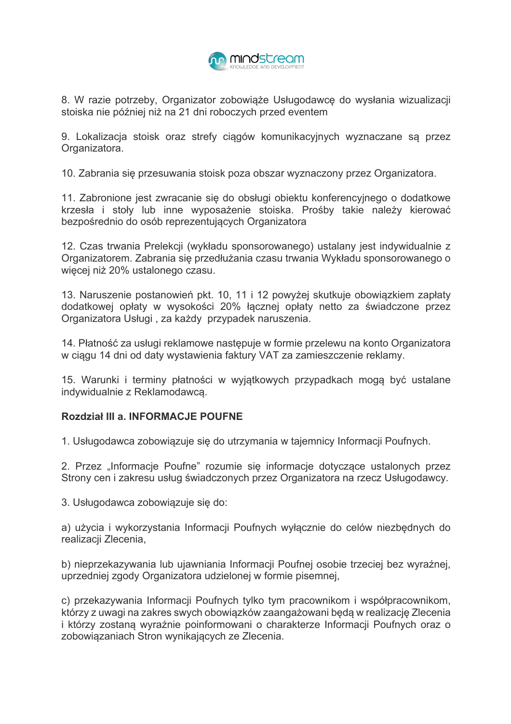

8. W razie potrzeby. Organizator zobowiaże Usługodawce do wysłania wizualizacji stoiska nie później niż na 21 dni roboczych przed eventem

9. Lokalizacja stojsk oraz strefy cjągów komunikacyjnych wyznaczane są przez Organizatora.

10. Zabrania się przesuwania stoisk poza obszar wyznaczony przez Organizatora.

11. Zabronione jest zwracanie się do obsługi obiektu konferencyjnego o dodatkowe krzesła i stoły lub inne wyposażenie stoiska. Prośby takie należy kierować bezpośrednio do osób reprezentujących Organizatora

12. Czas trwania Prelekcji (wykładu sponsorowanego) ustalany jest indywidualnie z Organizatorem. Zabrania się przedłużania czasu trwania Wykładu sponsorowanego o wiecei niż 20% ustalonego czasu.

13. Naruszenie postanowień pkt. 10, 11 i 12 powyżej skutkuje obowiązkiem zapłaty dodatkowej opłaty w wysokości 20% łącznej opłaty netto za świadczone przez Organizatora Usługi, za każdy przypadek naruszenia.

14. Płatność za usługi reklamowe nastepuje w formie przelewu na konto Organizatora w ciagu 14 dni od daty wystawienia faktury VAT za zamieszczenie reklamy.

15. Warunki i terminy płatności w wyjątkowych przypadkach mogą być ustalane indywidualnie z Reklamodawca.

## Rozdział III a. INFORMACJE POUFNE

1. Usługodawca zobowiazuje sie do utrzymania w tajemnicy Informacji Poufnych.

2. Przez "Informacje Poufne" rozumie się informacje dotyczące ustalonych przez Strony cen i zakresu usług świadczonych przez Organizatora na rzecz Usługodawcy.

3. Usługodawca zobowiązuje się do:

a) użycia i wykorzystania Informacji Poufnych wyłącznie do celów niezbędnych do realizacji Zlecenia,

b) nieprzekazywania lub ujawniania Informacji Poufnej osobie trzeciej bez wyraźnej, uprzedniej zgody Organizatora udzielonej w formie pisemnej,

c) przekazywania Informacji Poufnych tylko tym pracownikom i współpracownikom, którzy z uwagi na zakres swych obowiązków zaangażowani będą w realizację Zlecenia i którzy zostaną wyraźnie poinformowani o charakterze Informacji Poufnych oraz o zobowiązaniach Stron wynikających ze Zlecenia.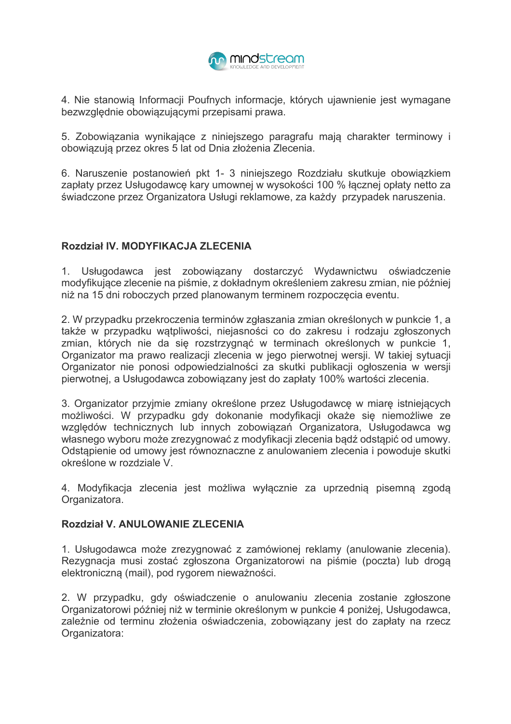

4. Nie stanowia Informacii Poufnych informacie, których ujawnienie jest wymagane bezwzględnie obowiązującymi przepisami prawa.

5. Zobowiązania wynikające z niniejszego paragrafu mają charakter terminowy i obowiązują przez okres 5 lat od Dnia złożenia Zlecenia.

6. Naruszenie postanowień pkt 1- 3 niniejszego Rozdziału skutkuje obowiązkiem zapłaty przez Usługodawce kary umownej w wysokości 100 % łacznej opłaty netto za świadczone przez Organizatora Usługi reklamowe, za każdy przypadek naruszenia.

## Rozdział IV. MODYFIKACJA ZLECENIA

1. Usługodawca jest zobowiązany dostarczyć Wydawnictwu oświadczenie modyfikujące zlecenie na piśmie, z dokładnym określeniem zakresu zmian, nie później niż na 15 dni roboczych przed planowanym terminem rozpoczęcia eventu.

2. W przypadku przekroczenia terminów zgłaszania zmian określonych w punkcie 1, a także w przypadku wątpliwości, niejasności co do zakresu i rodzaju zgłoszonych zmian, których nie da się rozstrzygnąć w terminach określonych w punkcie 1, Organizator ma prawo realizacji zlecenia w jego pierwotnej wersji. W takiej sytuacji Organizator nie ponosi odpowiedzialności za skutki publikacji ogłoszenia w wersji pierwotnej, a Usługodawca zobowiązany jest do zapłaty 100% wartości zlecenia.

3. Organizator przyjmie zmiany określone przez Usługodawcę w miarę istniejących możliwości. W przypadku gdy dokonanie modyfikacji okaże się niemożliwe ze względów technicznych lub innych zobowiązań Organizatora, Usługodawca wg własnego wyboru może zrezygnować z modyfikacji zlecenia bądź odstąpić od umowy. Odstapienie od umowy jest równoznaczne z anulowaniem zlecenia i powoduje skutki określone w rozdziale V.

4. Modyfikacja zlecenia jest możliwa wyłącznie za uprzednią pisemną zgodą Organizatora.

## Rozdział V ANIII OWANIE ZI FCENIA

1. Usługodawca może zrezygnować z zamówionej reklamy (anulowanie zlecenia). Rezygnacja musi zostać zgłoszona Organizatorowi na piśmie (poczta) lub droga elektroniczną (mail), pod rygorem nieważności.

2. W przypadku, gdy oświadczenie o anulowaniu zlecenia zostanie zgłoszone Organizatorowi później niż w terminie określonym w punkcie 4 poniżej. Usługodawca, zależnie od terminu złożenia oświadczenia, zobowiazany jest do zapłaty na rzecz Organizatora: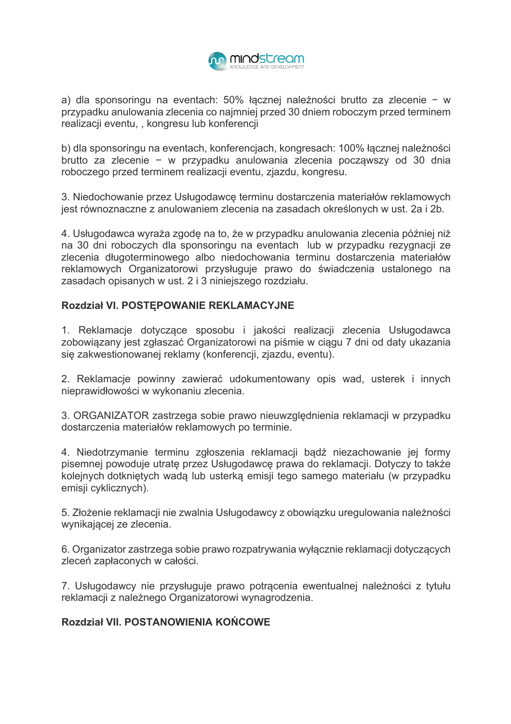

a) dla sponsoringu na eventach: 50% łacznej należności brutto za zlecenie – w przypadku anulowania zlecenia co najmniej przed 30 dniem roboczym przed terminem realizacji eventu, , kongresu lub konferencji

b) dla sponsoringu na eventach, konferencjach, kongresach: 100% łącznej należności brutto za zlecenie – w przypadku anulowania zlecenia poczawszy od 30 dnia roboczego przed terminem realizacji eventu, zjazdu, kongresu.

3. Niedochowanie przez Usługodawcę terminu dostarczenia materiałów reklamowych jest równoznaczne z anulowaniem zlecenia na zasadach określonych w ust. 2a i 2b.

4. Usługodawca wyraża zgodę na to, że w przypadku anulowania zlecenia później niż na 30 dni roboczych dla sponsoringu na eventach lub w przypadku rezygnacji ze zlecenia długoterminowego albo niedochowania terminu dostarczenia materiałów reklamowych Organizatorowi przysługuje prawo do świadczenia ustalonego na zasadach opisanych w ust. 2 i 3 niniejszego rozdziału.

## Rozdział VI. POSTEPOWANIE REKLAMACYJNE

1. Reklamacje dotyczące sposobu i jakości realizacji zlecenia Usługodawca zobowiązany jest zgłaszać Organizatorowi na piśmie w ciągu 7 dni od daty ukazania się zakwestionowanej reklamy (konferencji, zjazdu, eventu).

2. Reklamacje powinny zawierać udokumentowany opis wad, usterek i innych nieprawidłowości w wykonaniu zlecenia.

3. ORGANIZATOR zastrzega sobie prawo nieuwzględnienia reklamacji w przypadku dostarczenia materiałów reklamowych po terminie.

4. Niedotrzymanie terminu zgłoszenia reklamacji bądź niezachowanie jej formy pisemnej powoduje utratę przez Usługodawcę prawa do reklamacji. Dotyczy to także kolejnych dotkniętych wadą lub usterką emisji tego samego materiału (w przypadku emisji cyklicznych).

5. Złożenie reklamacji nie zwalnia Usługodawcy z obowiązku uregulowania należności wynikającej ze zlecenia.

6. Organizator zastrzega sobie prawo rozpatrywania wyłącznie reklamacji dotyczących zleceń zapłaconych w całości.

7. Usługodawcy nie przysługuje prawo potracenia ewentualnej należności z tytułu reklamacii z należnego Organizatorowi wynagrodzenia.

# Rozdział VII. POSTANOWIENIA KOŃCOWE